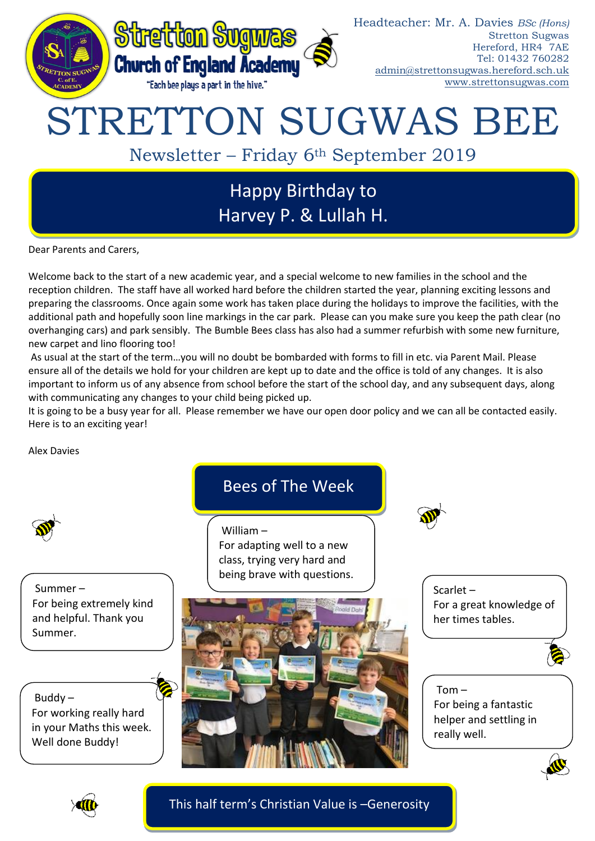

# STRETTON SUGWAS BEE

Newsletter – Friday 6th September 2019

## Happy Birthday to Harvey P. & Lullah H.

Dear Parents and Carers,

Welcome back to the start of a new academic year, and a special welcome to new families in the school and the reception children. The staff have all worked hard before the children started the year, planning exciting lessons and preparing the classrooms. Once again some work has taken place during the holidays to improve the facilities, with the additional path and hopefully soon line markings in the car park. Please can you make sure you keep the path clear (no overhanging cars) and park sensibly. The Bumble Bees class has also had a summer refurbish with some new furniture, new carpet and lino flooring too!

As usual at the start of the term…you will no doubt be bombarded with forms to fill in etc. via Parent Mail. Please ensure all of the details we hold for your children are kept up to date and the office is told of any changes. It is also important to inform us of any absence from school before the start of the school day, and any subsequent days, along with communicating any changes to your child being picked up.

It is going to be a busy year for all. Please remember we have our open door policy and we can all be contacted easily. Here is to an exciting year!

Alex Davies

Summer – For being extremely kind and helpful. Thank you Summer.

Buddy –

For working really hard in your Maths this week. Well done Buddy!

### Bees of The Week

William – For adapting well to a new class, trying very hard and being brave with questions.



Scarlet – For a great knowledge of her times tables.



Tom – For being a fantastic helper and settling in really well.





This half term's Christian Value is –Generosity